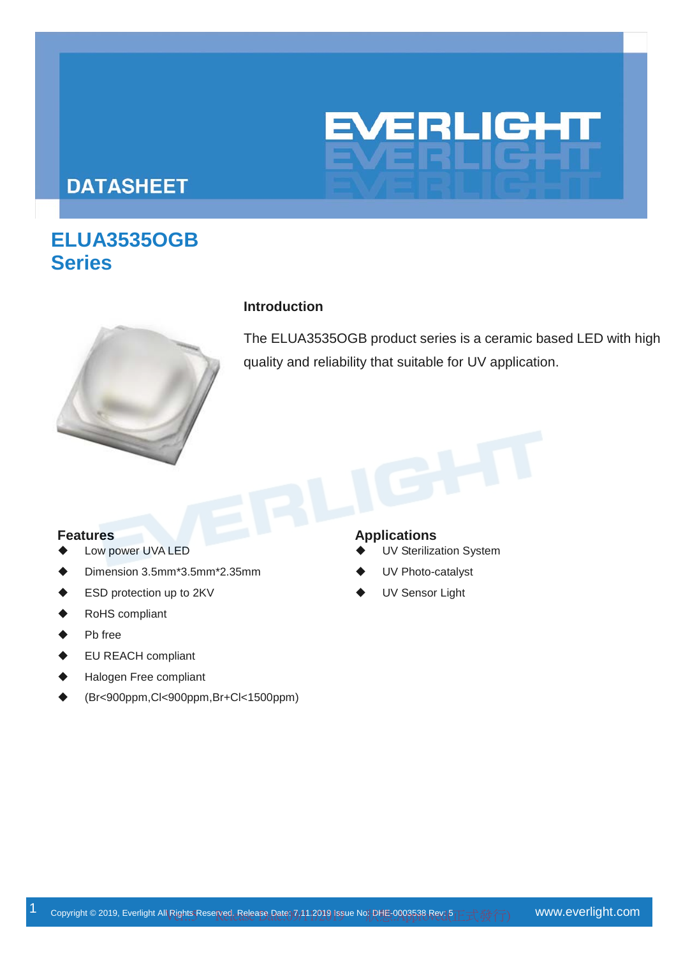# **EVERLIGHT**

# **DATASHEET**

# **ELUA3535OGB Series**



### **Introduction**

The ELUA3535OGB product series is a ceramic based LED with high quality and reliability that suitable for UV application.

- Low power UVA LED
- Dimension 3.5mm\*3.5mm\*2.35mm
- ESD protection up to 2KV
- RoHS compliant
- Pb free
- EU REACH compliant
- Halogen Free compliant
- (Br<900ppm,Cl<900ppm,Br+Cl<1500ppm)

### **Features Applications**

- UV Sterilization System
- UV Photo-catalyst
- UV Sensor Light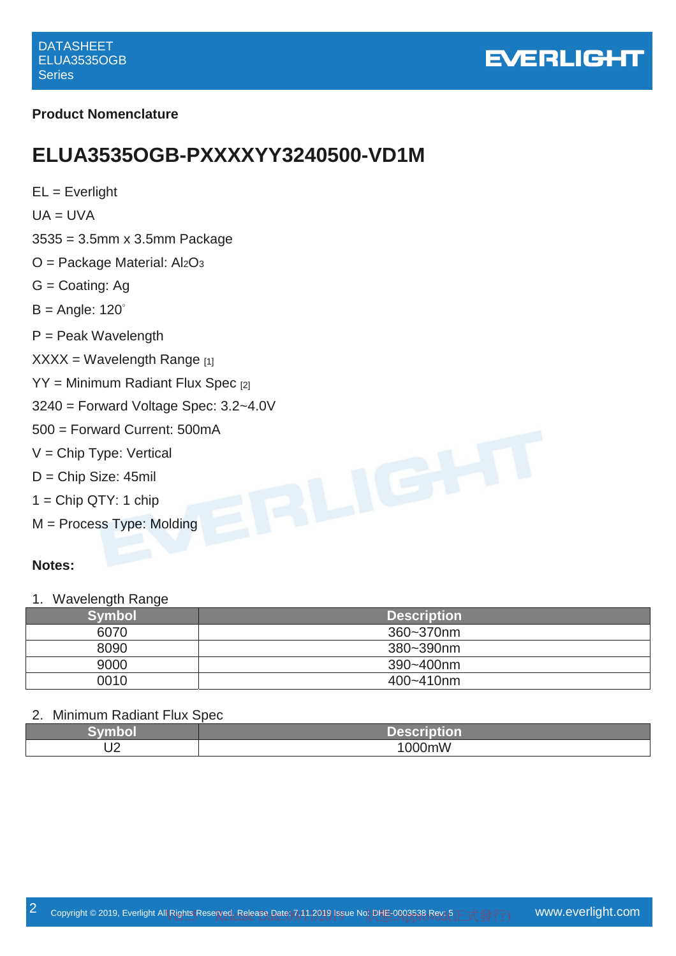

### **Product Nomenclature**

# **ELUA3535OGB-PXXXXYY3240500-VD1M**

 $EL = Everlight$  $UA = UVA$ 3535 = 3.5mm x 3.5mm Package  $O =$  Package Material:  $Al<sub>2</sub>O<sub>3</sub>$ G = Coating: Ag  $B =$  Angle: 120 $^{\circ}$ P = Peak Wavelength  $XXX = Wavelength$  Range [1] YY = Minimum Radiant Flux Spec [2] 3240 = Forward Voltage Spec: 3.2~4.0V 500 = Forward Current: 500mA V = Chip Type: Vertical D = Chip Size: 45mil  $1 =$ Chip QTY: 1 chip M = Process Type: Molding

### **Notes:**

1. Wavelength Range

| Symbol | <b>Description</b> |
|--------|--------------------|
| 6070   | 360~370nm          |
| 8090   | 380~390nm          |
| 9000   | 390~400nm          |
| 0010   | 400~410nm          |

### 2. Minimum Radiant Flux Spec

|                  | ____<br>T A K<br>ИΙ<br><u> The Company of the Company of the Company of the Company of the Company of the Company of the Company of the Company of the Company of the Company of the Company of the Company of the Company of the Company of the Compan</u><br>_____ |
|------------------|----------------------------------------------------------------------------------------------------------------------------------------------------------------------------------------------------------------------------------------------------------------------|
| $\sqrt{2}$<br>◡▵ | .<br>$\Omega$<br>0mvv                                                                                                                                                                                                                                                |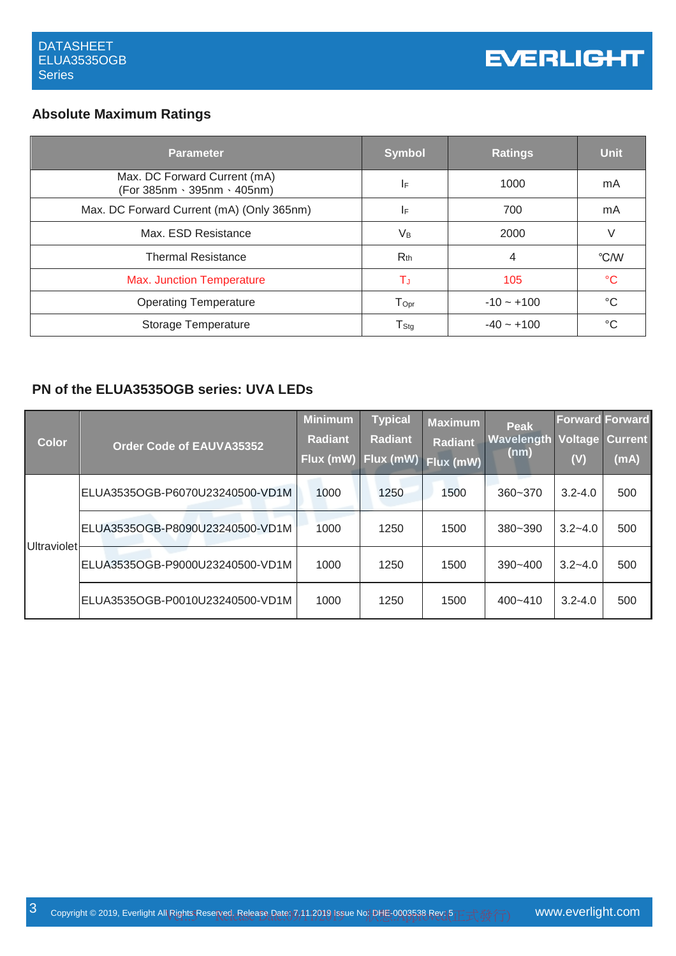## **Absolute Maximum Ratings**

| Parameter                                                   | <b>Symbol</b>               | <b>Ratings</b> | <b>Unit</b>     |
|-------------------------------------------------------------|-----------------------------|----------------|-----------------|
| Max. DC Forward Current (mA)<br>(For 385nm · 395nm · 405nm) | IF                          | 1000           | mA              |
| Max. DC Forward Current (mA) (Only 365nm)                   | IF.                         | 700            | mA              |
| Max. ESD Resistance                                         | V <sub>B</sub>              | 2000           | V               |
| <b>Thermal Resistance</b>                                   | $R_{th}$                    | 4              | °C/W            |
| <b>Max. Junction Temperature</b>                            | T.                          | 105            | $\rm ^{\circ}C$ |
| <b>Operating Temperature</b>                                | $\mathsf{T}_{\mathsf{Opt}}$ | $-10 - +100$   | $^{\circ}C$     |
| Storage Temperature                                         | $\mathsf{T}_{\mathsf{Stg}}$ | $-40 - +100$   | °C              |

### **PN of the ELUA3535OGB series: UVA LEDs**

| <b>Color</b>       | <b>Order Code of EAUVA35352</b>  | <u>Minimum</u><br><b>Radiant</b> | <b>Typical</b><br><b>Radiant</b><br>Flux (mW) Flux (mW) | <b>Maximum</b><br><b>Radiant</b><br>Flux (mW) | <b>Peak</b><br>Wavelength<br>(nm) | <b>Forward Forward</b><br><b>Voltage Current</b><br>(V) | (mA) |
|--------------------|----------------------------------|----------------------------------|---------------------------------------------------------|-----------------------------------------------|-----------------------------------|---------------------------------------------------------|------|
| <b>Ultraviolet</b> | ELUA3535OGB-P6070U23240500-VD1M  | 1000                             | 1250                                                    | 1500                                          | $360 - 370$                       | $3.2 - 4.0$                                             | 500  |
|                    | ELUA3535OGB-P8090U23240500-VD1M  | 1000                             | 1250                                                    | 1500                                          | $380 - 390$                       | $3.2 - 4.0$                                             | 500  |
|                    | ELUA3535OGB-P9000U23240500-VD1M  | 1000                             | 1250                                                    | 1500                                          | 390~400                           | $3.2 - 4.0$                                             | 500  |
|                    | IELUA3535OGB-P0010U23240500-VD1M | 1000                             | 1250                                                    | 1500                                          | $400 - 410$                       | $3.2 - 4.0$                                             | 500  |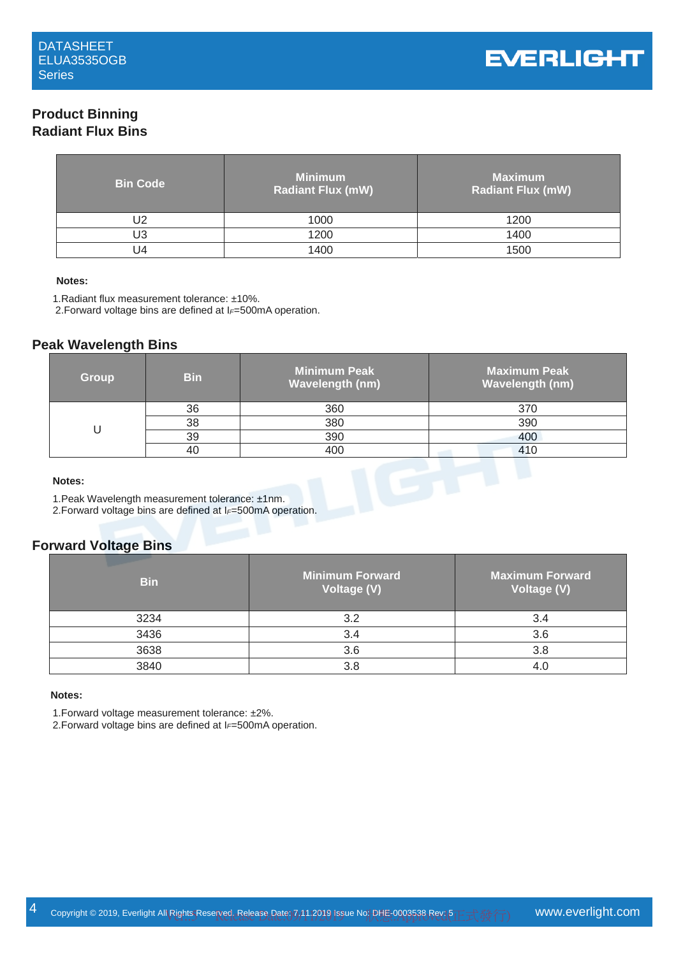### **Product Binning Radiant Flux Bins**

| <b>Bin Code</b> | <b>Minimum</b><br>Radiant Flux (mW) | <b>Maximum</b><br><b>Radiant Flux (mW)</b> |
|-----------------|-------------------------------------|--------------------------------------------|
| J2              | 1000                                | 1200                                       |
| U3              | 1200                                | 1400                                       |
| $\overline{14}$ | 1400                                | 1500                                       |

### **Notes:**

1.Radiant flux measurement tolerance: ±10%.

2.Forward voltage bins are defined at I*F*=500mA operation.

### **Peak Wavelength Bins**

| <b>Group</b> | <b>Bin</b>                                      | <b>Minimum Peak</b><br><b>Wavelength (nm)</b> | <b>Maximum Peak</b><br><b>Wavelength (nm)</b> |
|--------------|-------------------------------------------------|-----------------------------------------------|-----------------------------------------------|
|              | 36                                              | 360                                           | 370                                           |
| U            | 38                                              | 380                                           | 390                                           |
|              | 39                                              | 390                                           | 400                                           |
|              | 40                                              | 400                                           | 410                                           |
| Notes:       | 1. Peak Wavelength measurement tolerance: ±1nm. |                                               |                                               |

### **Notes:**

1.Peak Wavelength measurement tolerance: ±1nm.

2.Forward voltage bins are defined at I*F*=500mA operation.

### **Forward Voltage Bins**

| <b>Bin</b> | Minimum Forward<br>Voltage (V) | <b>Maximum Forward</b><br>Voltage (V) |
|------------|--------------------------------|---------------------------------------|
| 3234       | 3.2                            |                                       |
| 3436       | 3.4                            | 3.6                                   |
| 3638       | 3.6                            | 3.8                                   |
| 3840       | 3.8                            |                                       |

### **Notes:**

1.Forward voltage measurement tolerance: ±2%.

2.Forward voltage bins are defined at I*F*=500mA operation.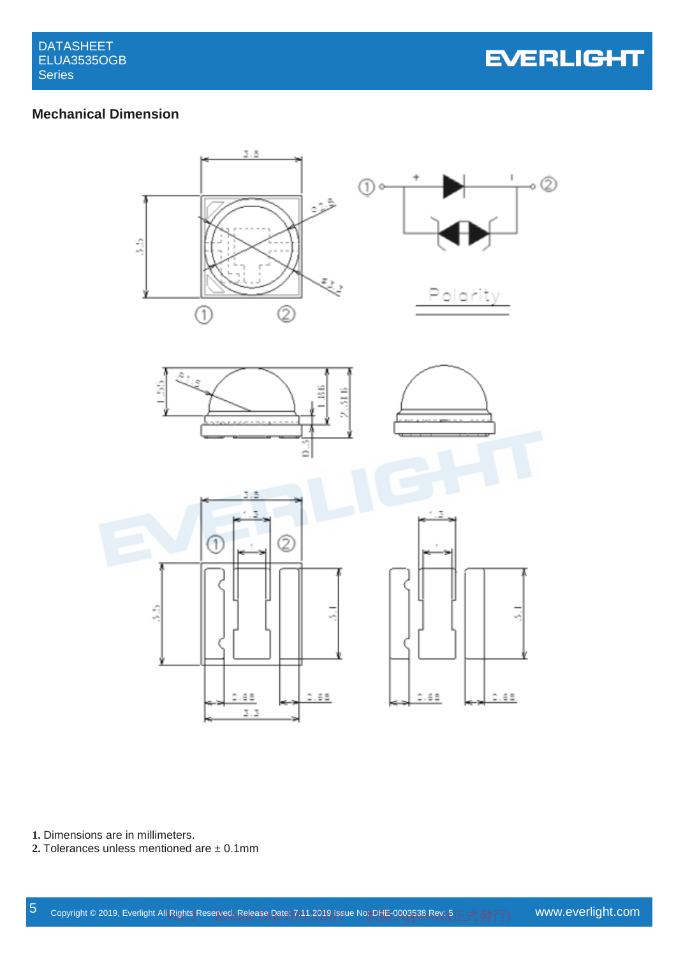

## **Mechanical Dimension**



**1.** Dimensions are in millimeters.

**2.** Tolerances unless mentioned are ± 0.1mm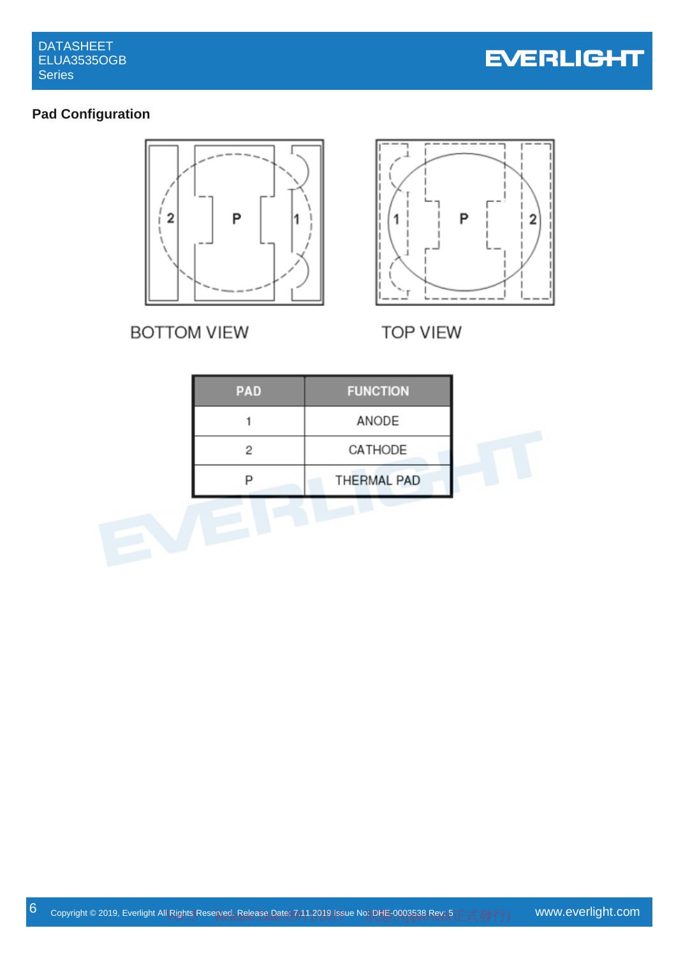

# **Pad Configuration**



**BOTTOM VIEW** 



**TOP VIEW** 

| PAD | <b>FUNCTION</b> |
|-----|-----------------|
|     | ANODE           |
| 2   | CATHODE         |
| n   | THERMAL PAD     |
|     |                 |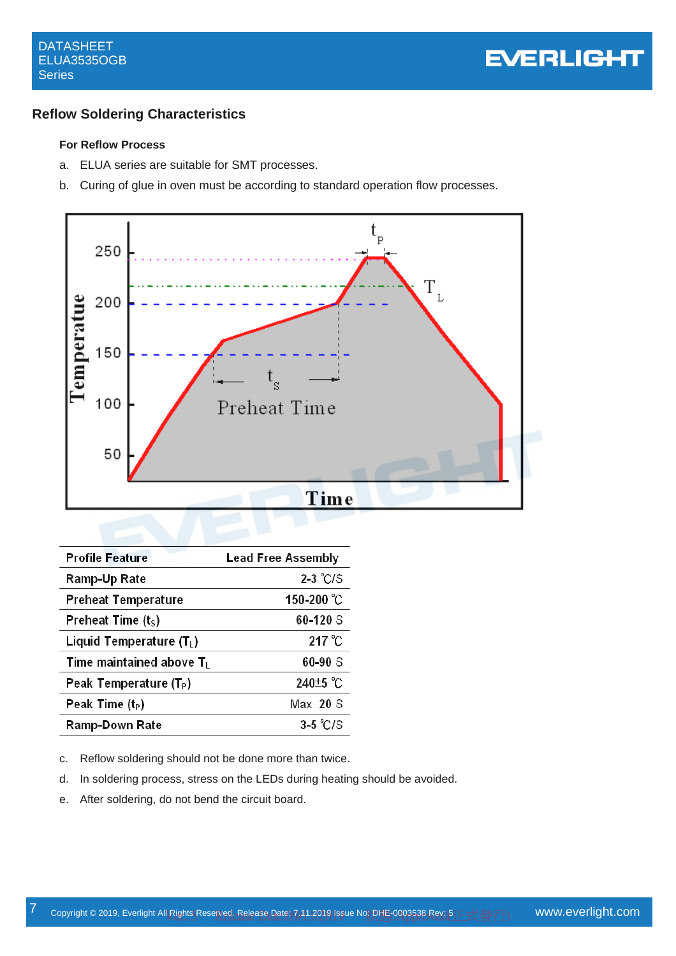### **Reflow Soldering Characteristics**

### **For Reflow Process**

- a. ELUA series are suitable for SMT processes.
- b. Curing of glue in oven must be according to standard operation flow processes.



| <b>Profile Feature</b>             | <b>Lead Free Assembly</b> |
|------------------------------------|---------------------------|
| Ramp-Up Rate                       | $2-3$ °C/S                |
| <b>Preheat Temperature</b>         | 150-200 °C                |
| Preheat Time $(tS)$                | 60-120 S                  |
| Liquid Temperature $(T_L)$         | $217^{\circ}$ C           |
| Time maintained above $T_L$        | $60 - 90$ S               |
| Peak Temperature (T <sub>P</sub> ) | 240 <sup>+5</sup> °C      |
| Peak Time $(t_P)$                  | $Max$ 20 S                |
| Ramp-Down Rate                     | $3-5$ °C/S                |

- c. Reflow soldering should not be done more than twice.
- d. In soldering process, stress on the LEDs during heating should be avoided.
- e. After soldering, do not bend the circuit board.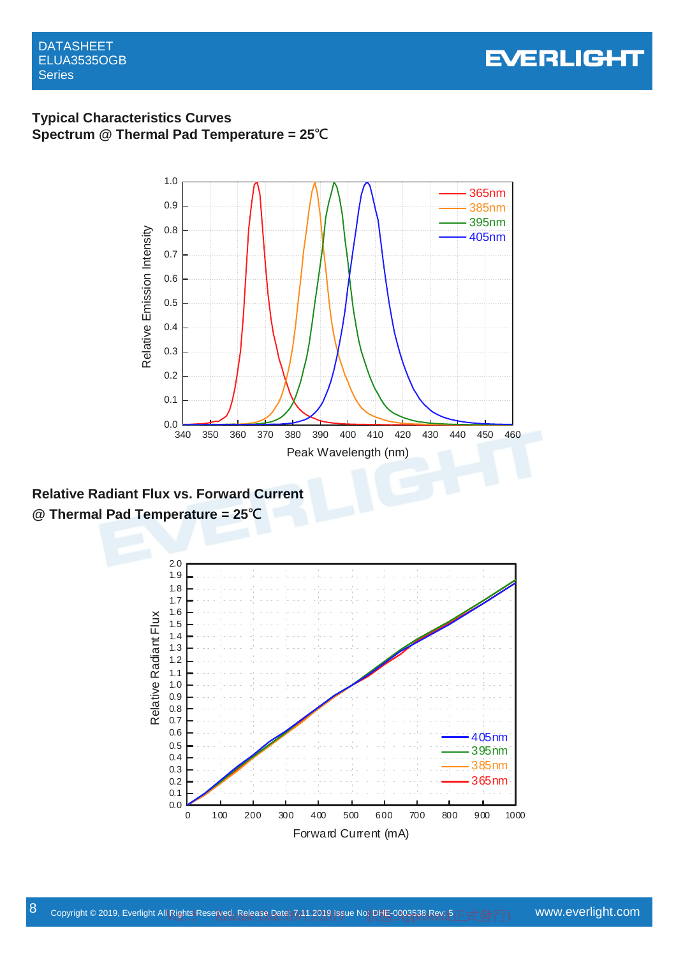DATASHEET ELUA3535OGB **Series** 



### **Typical Characteristics Curves Spectrum @ Thermal Pad Temperature = 25℃**



**Relative Radiant Flux vs. Forward Current @ Thermal Pad Temperature = 25℃**

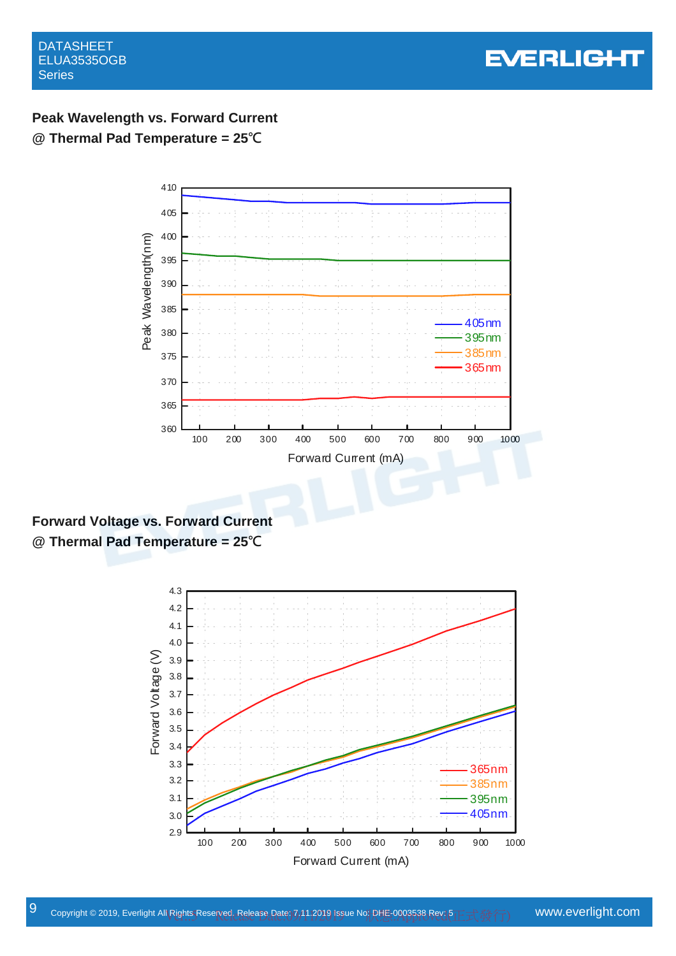

# **Peak Wavelength vs. Forward Current @ Thermal Pad Temperature = 25℃**



**Forward Voltage vs. Forward Current @ Thermal Pad Temperature = 25℃**

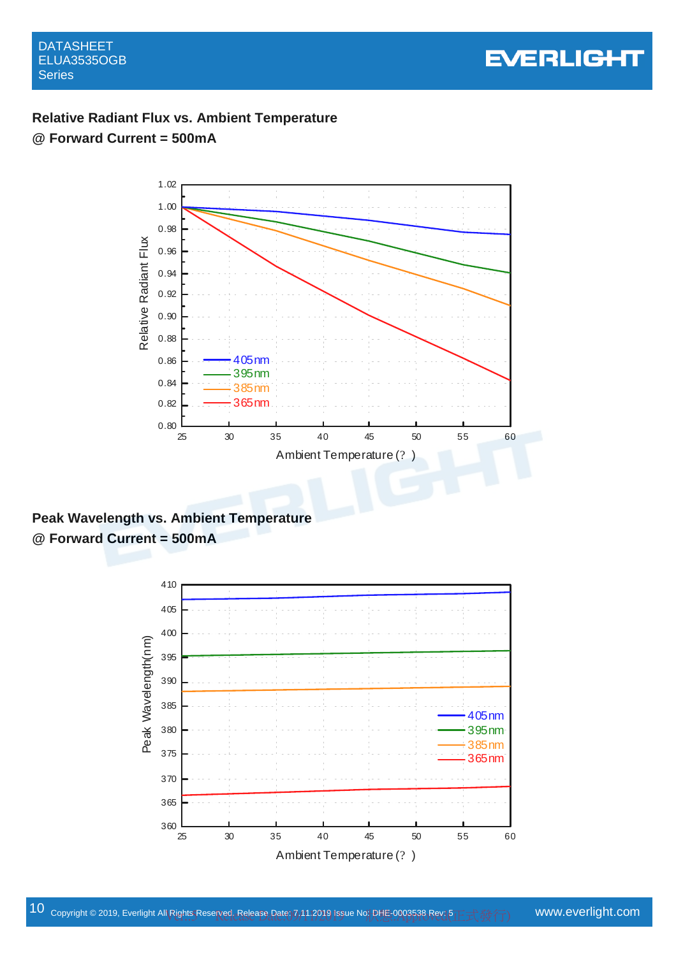

# **Relative Radiant Flux vs. Ambient Temperature @ Forward Current = 500mA**



**Peak Wavelength vs. Ambient Temperature @ Forward Current = 500mA** 

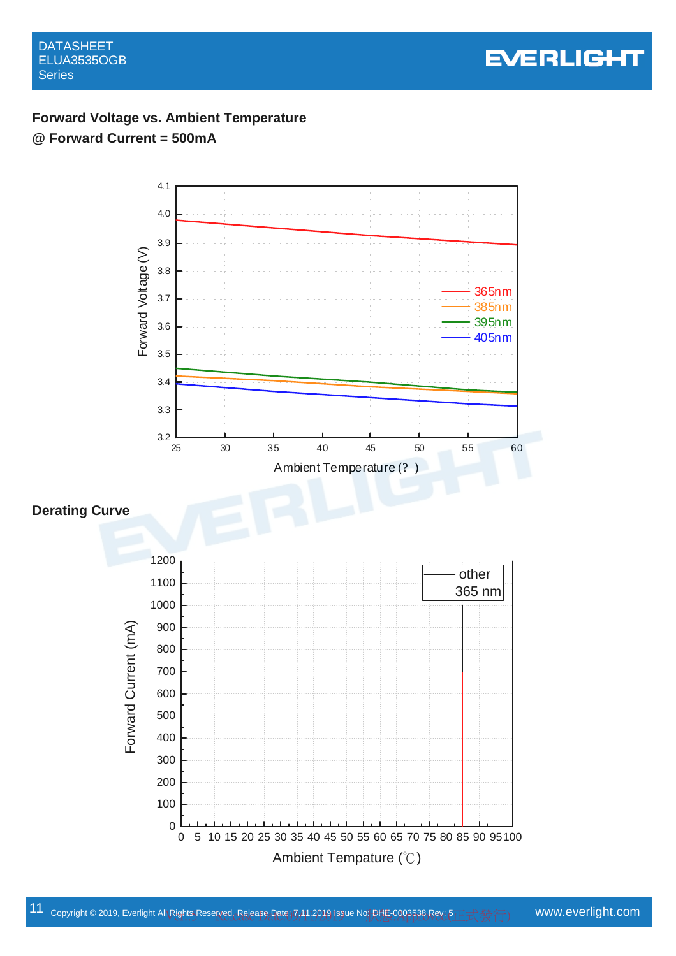

# **Forward Voltage vs. Ambient Temperature @ Forward Current = 500mA**

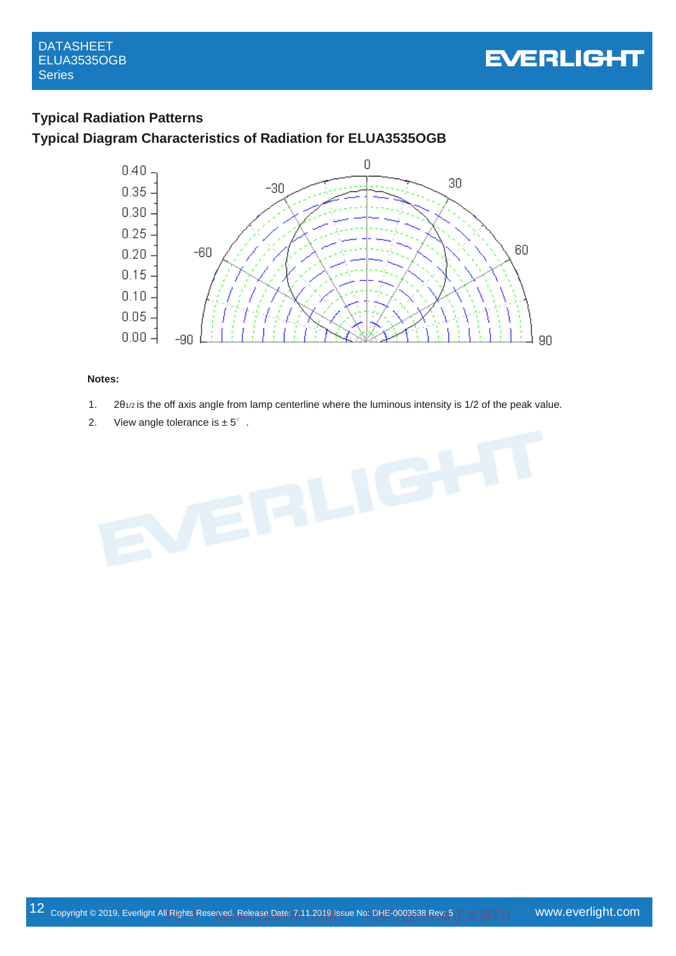

### **Typical Radiation Patterns**

### **Typical Diagram Characteristics of Radiation for ELUA3535OGB**



### **Notes:**

- 1.  $2\theta_{1/2}$  is the off axis angle from lamp centerline where the luminous intensity is 1/2 of the peak value.
- 

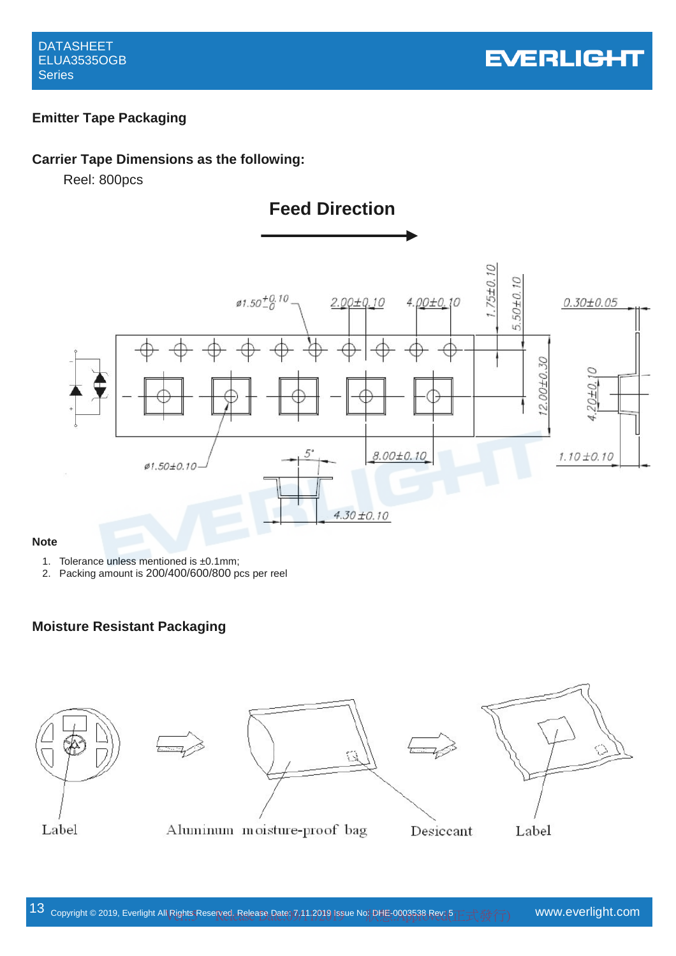### **Emitter Tape Packaging**

### **Carrier Tape Dimensions as the following:**

Reel: 800pcs





### **Note**

- 1. Tolerance unless mentioned is ±0.1mm;
- 2. Packing amount is 200/400/600/800 pcs per reel

### **Moisture Resistant Packaging**









Aluminum moisture-proof bag

Desiccant

Label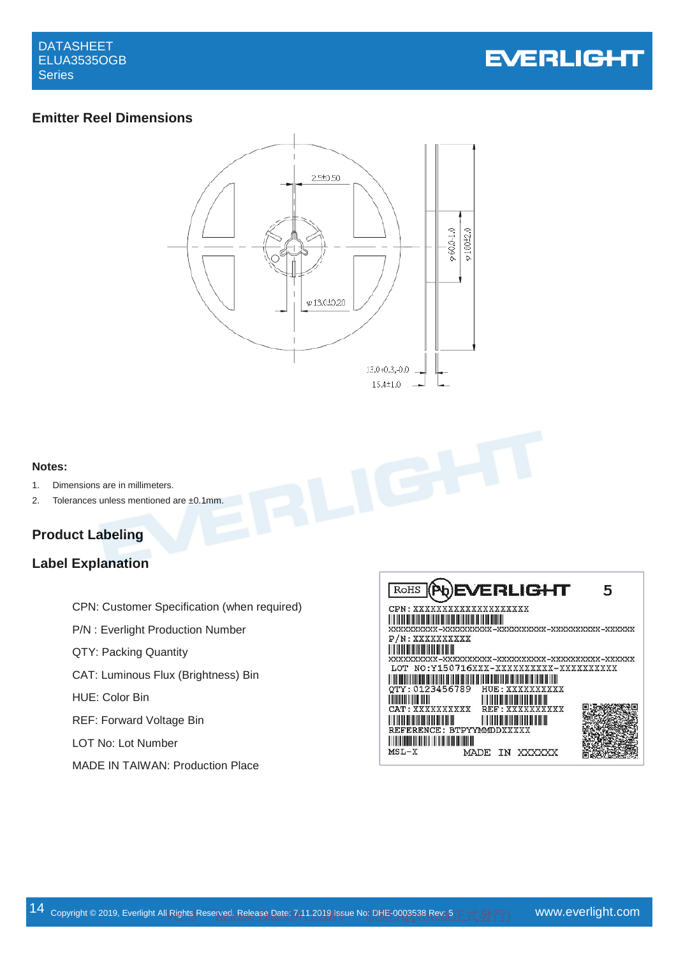

### **Emitter Reel Dimensions**



### **Notes:**

- 1. Dimensions are in millimeters.
- 2. Tolerances unless mentioned are ±0.1mm.

# **Product Labeling**

## **Label Explanation**

|                                                    | ĸ               |
|----------------------------------------------------|-----------------|
| <b>CPN: Customer Specification (when required)</b> | CP.             |
| P/N: Everlight Production Number                   | Ш<br>XXX<br>P/. |
| QTY: Packing Quantity                              | Ш<br>XXX        |
| CAT: Luminous Flux (Brightness) Bin                | LС<br>⊪         |
| HUE: Color Bin                                     | QТ<br>IIIII     |
| REF: Forward Voltage Bin                           | CA'<br>Ш        |
| LOT No: Lot Number                                 | RE.<br>║║║      |
| MADE IN TAIWAN: Production Place                   | MS.             |

| ROHS (Pb)EVERLIGHT                                                  |
|---------------------------------------------------------------------|
| CPN: XXXXXXXXXXXXXXXXXXX                                            |
|                                                                     |
| P/N: XXXXXXXXXX                                                     |
|                                                                     |
| LOT NO:Y150716XXX-XXXXXXXXXX-XXXXXXXXXX                             |
| OTY: 0123456789 HUE: XXXXXXXXXX                                     |
| CAT: XXXXXXXXXX<br>REF : XXXXXXXXXX                                 |
| <u> III din masjid na matana na ma</u><br>REFERENCE: BTPYYMMDDXXXXX |
|                                                                     |
| $MSL-X$<br>MADE<br>IN XXXXXX                                        |